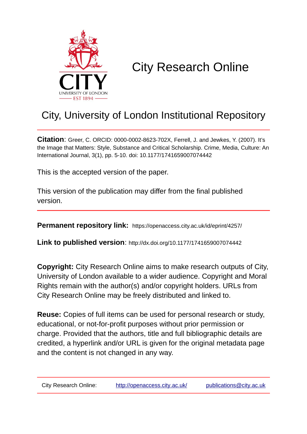

# City Research Online

# City, University of London Institutional Repository

**Citation**: Greer, C. ORCID: 0000-0002-8623-702X, Ferrell, J. and Jewkes, Y. (2007). It's the Image that Matters: Style, Substance and Critical Scholarship. Crime, Media, Culture: An International Journal, 3(1), pp. 5-10. doi: 10.1177/1741659007074442

This is the accepted version of the paper.

This version of the publication may differ from the final published version.

**Permanent repository link:** https://openaccess.city.ac.uk/id/eprint/4257/

**Link to published version**: http://dx.doi.org/10.1177/1741659007074442

**Copyright:** City Research Online aims to make research outputs of City, University of London available to a wider audience. Copyright and Moral Rights remain with the author(s) and/or copyright holders. URLs from City Research Online may be freely distributed and linked to.

**Reuse:** Copies of full items can be used for personal research or study, educational, or not-for-profit purposes without prior permission or charge. Provided that the authors, title and full bibliographic details are credited, a hyperlink and/or URL is given for the original metadata page and the content is not changed in any way.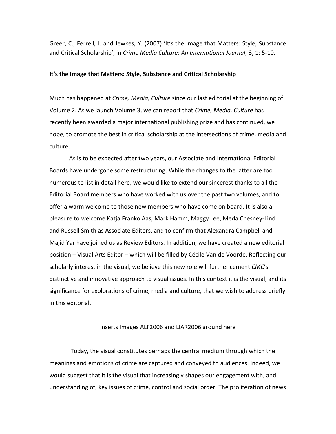Greer, C., Ferrell, J. and Jewkes, Y. (2007) 'It's the Image that Matters: Style, Substance and Critical Scholarship', in *Crime Media Culture: An International Journal*, 3, 1: 5-10.

#### **It's the Image that Matters: Style, Substance and Critical Scholarship**

Much has happened at *Crime, Media, Culture* since our last editorial at the beginning of Volume 2. As we launch Volume 3, we can report that *Crime, Media, Culture* has recently been awarded a major international publishing prize and has continued, we hope, to promote the best in critical scholarship at the intersections of crime, media and culture.

As is to be expected after two years, our Associate and International Editorial Boards have undergone some restructuring. While the changes to the latter are too numerous to list in detail here, we would like to extend our sincerest thanks to all the Editorial Board members who have worked with us over the past two volumes, and to offer a warm welcome to those new members who have come on board. It is also a pleasure to welcome Katja Franko Aas, Mark Hamm, Maggy Lee, Meda Chesney-Lind and Russell Smith as Associate Editors, and to confirm that Alexandra Campbell and Majid Yar have joined us as Review Editors. In addition, we have created a new editorial position – Visual Arts Editor – which will be filled by Cécile Van de Voorde. Reflecting our scholarly interest in the visual, we believe this new role will further cement *CMC*'s distinctive and innovative approach to visual issues. In this context it is the visual, and its significance for explorations of crime, media and culture, that we wish to address briefly in this editorial.

### Inserts Images ALF2006 and LIAR2006 around here

Today, the visual constitutes perhaps the central medium through which the meanings and emotions of crime are captured and conveyed to audiences. Indeed, we would suggest that it is the visual that increasingly shapes our engagement with, and understanding of, key issues of crime, control and social order. The proliferation of news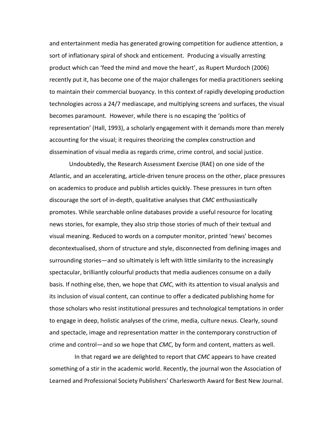and entertainment media has generated growing competition for audience attention, a sort of inflationary spiral of shock and enticement. Producing a visually arresting product which can 'feed the mind and move the heart', as Rupert Murdoch (2006) recently put it, has become one of the major challenges for media practitioners seeking to maintain their commercial buoyancy. In this context of rapidly developing production technologies across a 24/7 mediascape, and multiplying screens and surfaces, the visual becomes paramount. However, while there is no escaping the 'politics of representation' (Hall, 1993), a scholarly engagement with it demands more than merely accounting for the visual; it requires theorizing the complex construction and dissemination of visual media as regards crime, crime control, and social justice.

Undoubtedly, the Research Assessment Exercise (RAE) on one side of the Atlantic, and an accelerating, article-driven tenure process on the other, place pressures on academics to produce and publish articles quickly. These pressures in turn often discourage the sort of in-depth, qualitative analyses that *CMC* enthusiastically promotes. While searchable online databases provide a useful resource for locating news stories, for example, they also strip those stories of much of their textual and visual meaning. Reduced to words on a computer monitor, printed 'news' becomes decontextualised, shorn of structure and style, disconnected from defining images and surrounding stories—and so ultimately is left with little similarity to the increasingly spectacular, brilliantly colourful products that media audiences consume on a daily basis. If nothing else, then, we hope that *CMC*, with its attention to visual analysis and its inclusion of visual content, can continue to offer a dedicated publishing home for those scholars who resist institutional pressures and technological temptations in order to engage in deep, holistic analyses of the crime, media, culture nexus. Clearly, sound and spectacle, image and representation matter in the contemporary construction of crime and control—and so we hope that *CMC*, by form and content, matters as well.

In that regard we are delighted to report that *CMC* appears to have created something of a stir in the academic world. Recently, the journal won the Association of Learned and Professional Society Publishers' Charlesworth Award for Best New Journal.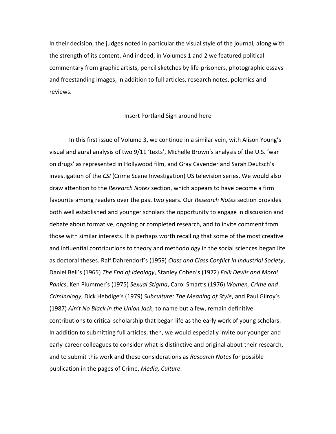In their decision, the judges noted in particular the visual style of the journal, along with the strength of its content. And indeed, in Volumes 1 and 2 we featured political commentary from graphic artists, pencil sketches by life-prisoners, photographic essays and freestanding images, in addition to full articles, research notes, polemics and reviews.

#### Insert Portland Sign around here

In this first issue of Volume 3, we continue in a similar vein, with Alison Young's visual and aural analysis of two 9/11 'texts', Michelle Brown's analysis of the U.S. 'war on drugs' as represented in Hollywood film, and Gray Cavender and Sarah Deutsch's investigation of the *CSI* (Crime Scene Investigation) US television series. We would also draw attention to the *Research Notes* section, which appears to have become a firm favourite among readers over the past two years. Our *Research Notes* section provides both well established and younger scholars the opportunity to engage in discussion and debate about formative, ongoing or completed research, and to invite comment from those with similar interests. It is perhaps worth recalling that some of the most creative and influential contributions to theory and methodology in the social sciences began life as doctoral theses. Ralf Dahrendorf's (1959) *Class and Class Conflict in Industrial Society*, Daniel Bell's (1965) *The End of Ideology*, Stanley Cohen's (1972) *Folk Devils and Moral Panics*, Ken Plummer's (1975) *Sexual Stigma*, Carol Smart's (1976) *Women, Crime and Criminology*, Dick Hebdige's (1979) *Subculture: The Meaning of Style*, and Paul Gilroy's (1987) *Ain't No Black in the Union Jack*, to name but a few, remain definitive contributions to critical scholarship that began life as the early work of young scholars. In addition to submitting full articles, then, we would especially invite our younger and early-career colleagues to consider what is distinctive and original about their research, and to submit this work and these considerations as *Research Notes* for possible publication in the pages of Crime, *Media, Culture*.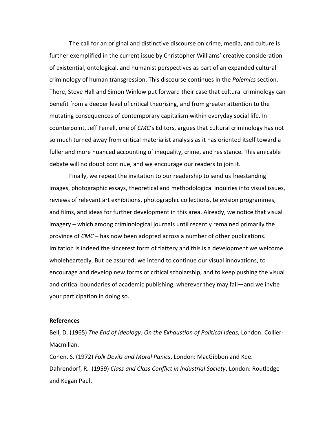The call for an original and distinctive discourse on crime, media, and culture is further exemplified in the current issue by Christopher Williams' creative consideration of existential, ontological, and humanist perspectives as part of an expanded cultural criminology of human transgression. This discourse continues in the *Polemics* section. There, Steve Hall and Simon Winlow put forward their case that cultural criminology can benefit from a deeper level of critical theorising, and from greater attention to the mutating consequences of contemporary capitalism within everyday social life. In counterpoint, Jeff Ferrell, one of *CMC*'s Editors, argues that cultural criminology has not so much turned away from critical materialist analysis as it has oriented itself toward a fuller and more nuanced accounting of inequality, crime, and resistance. This amicable debate will no doubt continue, and we encourage our readers to join it.

Finally, we repeat the invitation to our readership to send us freestanding images, photographic essays, theoretical and methodological inquiries into visual issues, reviews of relevant art exhibitions, photographic collections, television programmes, and films, and ideas for further development in this area. Already, we notice that visual imagery – which among criminological journals until recently remained primarily the province of *CMC* – has now been adopted across a number of other publications. Imitation is indeed the sincerest form of flattery and this is a development we welcome wholeheartedly. But be assured: we intend to continue our visual innovations, to encourage and develop new forms of critical scholarship, and to keep pushing the visual and critical boundaries of academic publishing, wherever they may fall—and we invite your participation in doing so.

## **References**

Bell, D. (1965) *The End of Ideology: On the Exhaustion of Political Ideas*, London: Collier-Macmillan.

Cohen. S. (1972) *Folk Devils and Moral Panics*, London: MacGibbon and Kee. Dahrendorf, R. (1959) *Class and Class Conflict in Industrial Society*, London: Routledge and Kegan Paul.